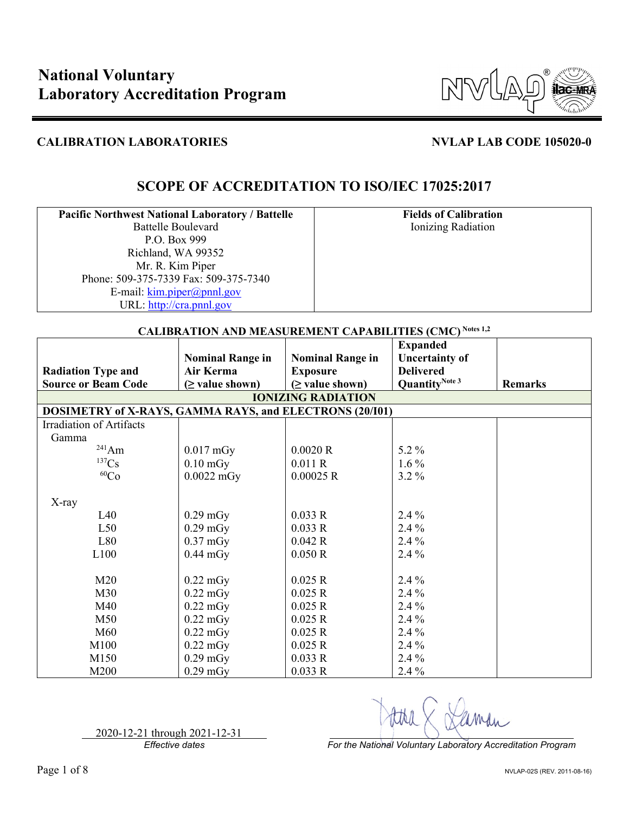

# **SCOPE OF ACCREDITATION TO ISO/IEC 17025:2017**

| <b>Pacific Northwest National Laboratory / Battelle</b> |
|---------------------------------------------------------|
| <b>Battelle Boulevard</b>                               |
| P.O. Box 999                                            |
| Richland, WA 99352                                      |
| Mr. R. Kim Piper                                        |
| Phone: 509-375-7339 Fax: 509-375-7340                   |
| E-mail: kim.piper@pnnl.gov                              |
| URL: http://cra.pnnl.gov                                |

**Fields of Calibration** Ionizing Radiation

| <b>CALIBRATION AND MEASUREMENT CAPABILITIES (CMC)</b> Notes 1,2 |                         |                           |                            |                |  |
|-----------------------------------------------------------------|-------------------------|---------------------------|----------------------------|----------------|--|
|                                                                 |                         |                           | <b>Expanded</b>            |                |  |
|                                                                 | <b>Nominal Range in</b> | <b>Nominal Range in</b>   | <b>Uncertainty of</b>      |                |  |
| <b>Radiation Type and</b>                                       | Air Kerma               | <b>Exposure</b>           | <b>Delivered</b>           |                |  |
| <b>Source or Beam Code</b>                                      | $(\geq$ value shown)    | $(\geq$ value shown)      | Quantity <sup>Note 3</sup> | <b>Remarks</b> |  |
|                                                                 |                         | <b>IONIZING RADIATION</b> |                            |                |  |
| DOSIMETRY of X-RAYS, GAMMA RAYS, and ELECTRONS (20/101)         |                         |                           |                            |                |  |
| Irradiation of Artifacts                                        |                         |                           |                            |                |  |
| Gamma                                                           |                         |                           |                            |                |  |
| $^{241}Am$                                                      | $0.017$ mGy             | 0.0020 R                  | 5.2 $%$                    |                |  |
| ${}^{137}\mathrm{Cs}$                                           | $0.10 \text{ mGy}$      | 0.011R                    | $1.6\%$                    |                |  |
| ${}^{60}Co$                                                     | $0.0022$ mGy            | 0.00025 R                 | $3.2\%$                    |                |  |
|                                                                 |                         |                           |                            |                |  |
| X-ray                                                           |                         |                           |                            |                |  |
| L40                                                             | $0.29$ mGy              | 0.033 R                   | $2.4\%$                    |                |  |
| L50                                                             | $0.29$ mGy              | 0.033 R                   | 2.4 %                      |                |  |
| L80                                                             | $0.37 \text{ mGy}$      | 0.042 R                   | 2.4 %                      |                |  |
| L100                                                            | $0.44$ mGy              | 0.050 R                   | $2.4\%$                    |                |  |
|                                                                 |                         |                           |                            |                |  |
| M20                                                             | $0.22 \text{ mGy}$      | 0.025 R                   | $2.4\%$                    |                |  |
| M30                                                             | $0.22 \text{ mGy}$      | 0.025 R                   | $2.4\%$                    |                |  |
| M40                                                             | $0.22 \text{ mGy}$      | 0.025 R                   | 2.4 %                      |                |  |
| M50                                                             | $0.22 \text{ mGy}$      | 0.025 R                   | 2.4 %                      |                |  |
| M60                                                             | $0.22 \text{ mGy}$      | 0.025 R                   | $2.4\%$                    |                |  |
| M100                                                            | $0.22 \text{ mGy}$      | 0.025 R                   | $2.4\%$                    |                |  |
| M150                                                            | $0.29$ mGy              | 0.033R                    | 2.4 %                      |                |  |
| M200                                                            | $0.29$ mGy              | 0.033R                    | $2.4\%$                    |                |  |

2020-12-21 through 2021-12-31

*Effective dates For the National Voluntary Laboratory Accreditation Program*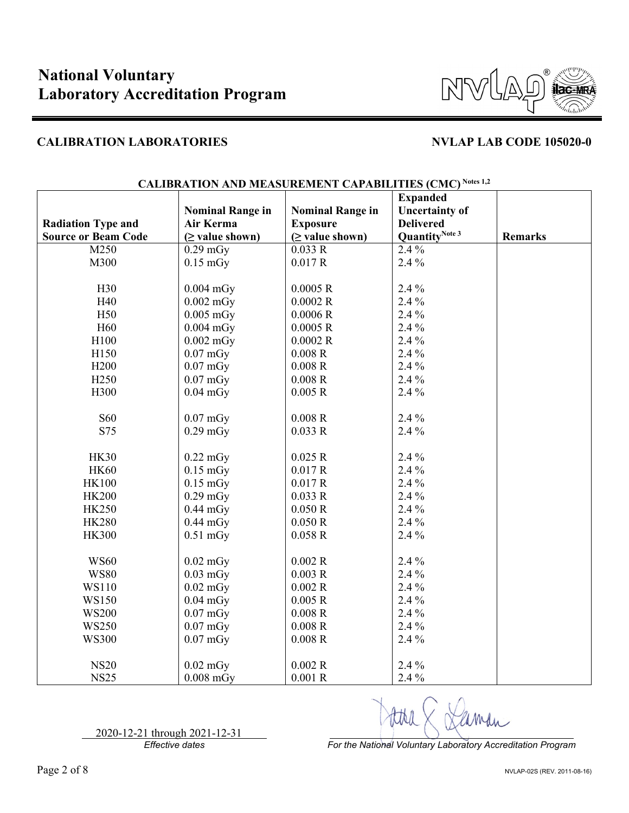

|                            |                         |                         | <b>Expanded</b>            |                |
|----------------------------|-------------------------|-------------------------|----------------------------|----------------|
|                            | <b>Nominal Range in</b> | <b>Nominal Range in</b> | <b>Uncertainty of</b>      |                |
| <b>Radiation Type and</b>  | Air Kerma               | <b>Exposure</b>         | <b>Delivered</b>           |                |
| <b>Source or Beam Code</b> | $(\geq$ value shown)    | $(\geq$ value shown)    | Quantity <sup>Note 3</sup> | <b>Remarks</b> |
| M250                       | $0.29$ mGy              | 0.033 R                 | $2.4\%$                    |                |
| M300                       | $0.15 \text{ mGy}$      | 0.017 R                 | 2.4 %                      |                |
|                            |                         |                         |                            |                |
| H30                        | $0.004$ mGy             | 0.0005 R                | 2.4 %                      |                |
| H40                        | $0.002$ mGy             | 0.0002R                 | $2.4\%$                    |                |
| H <sub>50</sub>            | $0.005$ mGy             | 0.0006R                 | 2.4 %                      |                |
| H <sub>60</sub>            | $0.004$ mGy             | 0.0005 R                | 2.4 %                      |                |
| H100                       | $0.002$ mGy             | 0.0002 R                | 2.4 %                      |                |
| H150                       | $0.07$ mGy              | 0.008R                  | $2.4\%$                    |                |
| H <sub>200</sub>           | $0.07$ mGy              | 0.008R                  | 2.4 %                      |                |
| H <sub>250</sub>           | $0.07$ mGy              | 0.008R                  | 2.4 %                      |                |
| H300                       | $0.04$ mGy              | 0.005R                  | 2.4 %                      |                |
|                            |                         |                         |                            |                |
| <b>S60</b>                 | $0.07$ mGy              | 0.008R                  | 2.4 %                      |                |
| S75                        | $0.29$ mGy              | 0.033R                  | 2.4 %                      |                |
|                            |                         |                         |                            |                |
| <b>HK30</b>                | $0.22 \text{ mGy}$      | 0.025 R                 | $2.4\%$                    |                |
| <b>HK60</b>                | $0.15$ mGy              | 0.017 R                 | 2.4 %                      |                |
| <b>HK100</b>               | $0.15$ mGy              | 0.017 R                 | $2.4\%$                    |                |
| <b>HK200</b>               | $0.29$ mGy              | 0.033 R                 | $2.4\%$                    |                |
| <b>HK250</b>               | $0.44$ mGy              | 0.050 R                 | $2.4\%$                    |                |
| <b>HK280</b>               | $0.44$ mGy              | 0.050 R                 | 2.4 %                      |                |
| <b>HK300</b>               | $0.51$ mGy              | 0.058R                  | 2.4 %                      |                |
|                            |                         |                         |                            |                |
| <b>WS60</b>                | $0.02$ mGy              | 0.002R                  | 2.4 %                      |                |
| <b>WS80</b>                | $0.03$ mGy              | 0.003R                  | 2.4 %                      |                |
| WS110                      | $0.02$ mGy              | 0.002 R                 | 2.4 %                      |                |
| WS150                      | $0.04$ mGy              | 0.005 R                 | 2.4 %                      |                |
| <b>WS200</b>               | $0.07$ mGy              | 0.008R                  | 2.4 %                      |                |
| <b>WS250</b>               | $0.07$ mGy              | 0.008R                  | 2.4 %                      |                |
| <b>WS300</b>               | $0.07$ mGy              | 0.008R                  | 2.4 %                      |                |
|                            |                         |                         |                            |                |
| <b>NS20</b>                | $0.02$ mGy              | 0.002 R                 | 2.4 %                      |                |
| <b>NS25</b>                | $0.008$ mGy             | 0.001R                  | 2.4 %                      |                |

# **CALIBRATION AND MEASUREMENT CAPABILITIES (CMC) Notes 1,2**

2020-12-21 through 2021-12-31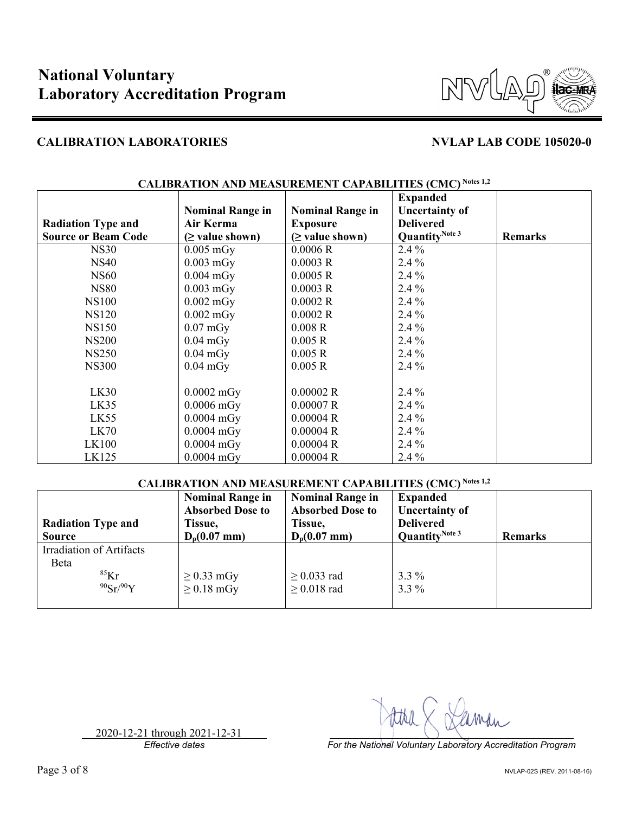

|                            |                         |                         | <b>Expanded</b>            |                |
|----------------------------|-------------------------|-------------------------|----------------------------|----------------|
|                            | <b>Nominal Range in</b> | <b>Nominal Range in</b> | <b>Uncertainty of</b>      |                |
| <b>Radiation Type and</b>  | Air Kerma               | <b>Exposure</b>         | <b>Delivered</b>           |                |
| <b>Source or Beam Code</b> | $(\geq$ value shown)    | $(\geq$ value shown)    | Quantity <sup>Note 3</sup> | <b>Remarks</b> |
| <b>NS30</b>                | $0.005$ mGy             | 0.0006R                 | $2.4\%$                    |                |
| <b>NS40</b>                | $0.003$ mGy             | 0.0003 R                | $2.4\%$                    |                |
| <b>NS60</b>                | $0.004$ mGy             | 0.0005 R                | $2.4\%$                    |                |
| <b>NS80</b>                | $0.003$ mGy             | 0.0003 R                | $2.4\%$                    |                |
| <b>NS100</b>               | $0.002$ mGy             | 0.0002R                 | $2.4\%$                    |                |
| <b>NS120</b>               | $0.002$ mGy             | 0.0002R                 | $2.4\%$                    |                |
| <b>NS150</b>               | $0.07 \text{ mGy}$      | 0.008R                  | $2.4\%$                    |                |
| <b>NS200</b>               | $0.04$ mGy              | 0.005 R                 | $2.4\%$                    |                |
| <b>NS250</b>               | $0.04$ mGy              | 0.005 R                 | $2.4\%$                    |                |
| <b>NS300</b>               | $0.04$ mGy              | 0.005 R                 | $2.4\%$                    |                |
|                            |                         |                         |                            |                |
| LK30                       | $0.0002$ mGy            | 0.00002 R               | $2.4\%$                    |                |
| LK35                       | $0.0006$ mGy            | 0.00007 R               | $2.4\%$                    |                |
| LK55                       | $0.0004$ mGy            | 0.00004R                | $2.4\%$                    |                |
| LK70                       | $0.0004$ mGy            | 0.00004R                | 2.4 %                      |                |
| <b>LK100</b>               | $0.0004$ mGy            | 0.00004R                | $2.4\%$                    |                |
| LK125                      | $0.0004$ mGy            | 0.00004R                | $2.4\%$                    |                |

# **CALIBRATION AND MEASUREMENT CAPABILITIES (CMC) Notes 1,2**

## **CALIBRATION AND MEASUREMENT CAPABILITIES (CMC) Notes 1,2**

| <b>Radiation Type and</b><br><b>Source</b>              | <b>Nominal Range in</b><br><b>Absorbed Dose to</b><br>Tissue,<br>$D_p(0.07 \text{ mm})$ | <b>Nominal Range in</b><br><b>Absorbed Dose to</b><br>Tissue,<br>$D_p(0.07$ mm) | <b>Expanded</b><br><b>Uncertainty of</b><br><b>Delivered</b><br>Quantity <sup>Note 3</sup> | <b>Remarks</b> |
|---------------------------------------------------------|-----------------------------------------------------------------------------------------|---------------------------------------------------------------------------------|--------------------------------------------------------------------------------------------|----------------|
| Irradiation of Artifacts<br>Beta<br>$85$ Kr<br>90Sr/90Y | $\geq$ 0.33 mGy<br>$\geq$ 0.18 mGy                                                      | $\geq$ 0.033 rad<br>$\geq$ 0.018 rad                                            | $3.3\%$<br>$3.3\%$                                                                         |                |

2020-12-21 through 2021-12-31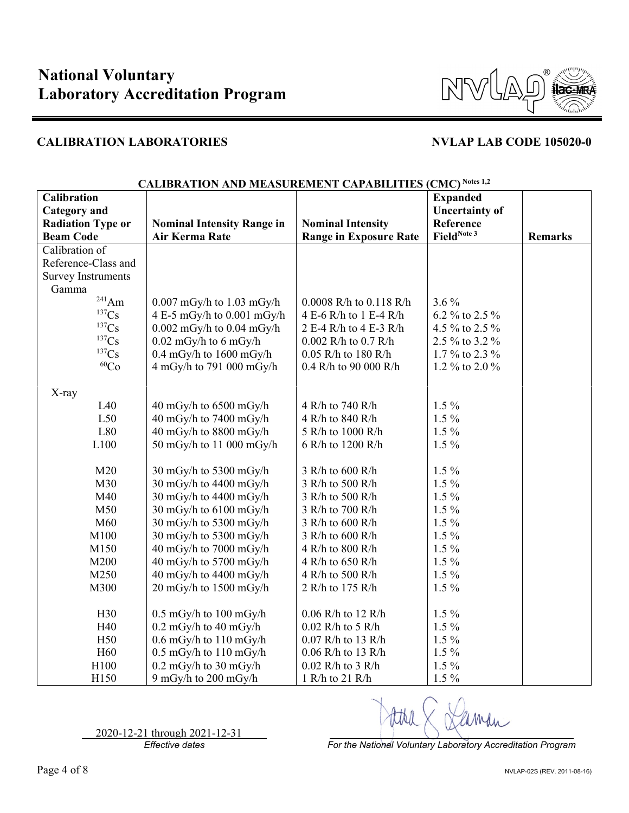

| Calibration               | http://t.tv/i/t.tv/b/methoritety.com/http://text. |                               | $\mathbf{C}$<br><b>Expanded</b> |                |
|---------------------------|---------------------------------------------------|-------------------------------|---------------------------------|----------------|
| <b>Category</b> and       |                                                   |                               | <b>Uncertainty of</b>           |                |
| <b>Radiation Type or</b>  | <b>Nominal Intensity Range in</b>                 | <b>Nominal Intensity</b>      | Reference                       |                |
| <b>Beam Code</b>          | Air Kerma Rate                                    | <b>Range in Exposure Rate</b> | FieldNote 3                     | <b>Remarks</b> |
| Calibration of            |                                                   |                               |                                 |                |
| Reference-Class and       |                                                   |                               |                                 |                |
| <b>Survey Instruments</b> |                                                   |                               |                                 |                |
| Gamma                     |                                                   |                               |                                 |                |
| $^{241}Am$                | $0.007$ mGy/h to 1.03 mGy/h                       | 0.0008 R/h to 0.118 R/h       | $3.6\%$                         |                |
| 137Cs                     | 4 E-5 mGy/h to 0.001 mGy/h                        | 4 E-6 R/h to 1 E-4 R/h        | 6.2 % to 2.5 %                  |                |
| 137 <sub>Cs</sub>         | $0.002$ mGy/h to $0.04$ mGy/h                     | 2 E-4 R/h to 4 E-3 R/h        | 4.5 % to 2.5 %                  |                |
| 137 <sub>Cs</sub>         | $0.02$ mGy/h to 6 mGy/h                           | 0.002 R/h to 0.7 R/h          | 2.5 % to 3.2 %                  |                |
| 137 <sub>Cs</sub>         | $0.4$ mGy/h to $1600$ mGy/h                       | $0.05$ R/h to 180 R/h         | 1.7 % to 2.3 %                  |                |
| ${}^{60}Co$               | 4 mGy/h to 791 000 mGy/h                          | 0.4 R/h to 90 000 R/h         | 1.2 % to 2.0 %                  |                |
|                           |                                                   |                               |                                 |                |
| X-ray                     |                                                   |                               |                                 |                |
| L40                       | 40 mGy/h to 6500 mGy/h                            | 4 R/h to 740 R/h              | $1.5\%$                         |                |
| L50                       | 40 mGy/h to 7400 mGy/h                            | 4 R/h to 840 R/h              | $1.5\%$                         |                |
| L80                       | 40 mGy/h to 8800 mGy/h                            | 5 R/h to 1000 R/h             | $1.5\%$                         |                |
| L100                      | 50 mGy/h to 11 000 mGy/h                          | 6 R/h to 1200 R/h             | $1.5\%$                         |                |
|                           |                                                   |                               |                                 |                |
| M20                       | 30 mGy/h to 5300 mGy/h                            | 3 R/h to 600 R/h              | $1.5\%$                         |                |
| M30                       | 30 mGy/h to 4400 mGy/h                            | 3 R/h to 500 R/h              | $1.5\%$                         |                |
| M40                       | 30 mGy/h to 4400 mGy/h                            | 3 R/h to 500 R/h              | $1.5\%$                         |                |
| M50                       | 30 mGy/h to $6100$ mGy/h                          | 3 R/h to 700 R/h              | $1.5\%$                         |                |
| M60                       | 30 mGy/h to 5300 mGy/h                            | 3 R/h to 600 R/h              | $1.5\%$                         |                |
| M100                      | 30 mGy/h to 5300 mGy/h                            | 3 R/h to 600 R/h              | $1.5\%$                         |                |
| M150                      | 40 mGy/h to 7000 mGy/h                            | 4 R/h to 800 R/h              | $1.5\%$                         |                |
| M200                      | 40 mGy/h to 5700 mGy/h                            | 4 R/h to 650 R/h              | $1.5\%$                         |                |
| M250                      | 40 mGy/h to 4400 mGy/h                            | 4 R/h to 500 R/h              | $1.5\%$                         |                |
| M300                      | 20 mGy/h to 1500 mGy/h                            | 2 R/h to 175 R/h              | $1.5\%$                         |                |
|                           |                                                   |                               |                                 |                |
| H <sub>30</sub>           | $0.5$ mGy/h to $100$ mGy/h                        | 0.06 R/h to 12 R/h            | $1.5\%$                         |                |
| H40                       | $0.2$ mGy/h to 40 mGy/h                           | $0.02$ R/h to 5 R/h           | $1.5\%$                         |                |
| H50                       | $0.6$ mGy/h to $110$ mGy/h                        | 0.07 R/h to 13 R/h            | $1.5\%$                         |                |
| H <sub>60</sub>           | $0.5$ mGy/h to $110$ mGy/h                        | 0.06 R/h to 13 R/h            | $1.5\%$                         |                |
| H100                      | $0.2$ mGy/h to $30$ mGy/h                         | $0.02$ R/h to 3 R/h           | $1.5\%$                         |                |
| H150                      | 9 mGy/h to 200 mGy/h                              | 1 R/h to 21 R/h               | $1.5\%$                         |                |

### **CALIBRATION AND MEASUREMENT CAPABILITIES (CMC) Notes 1,2**

2020-12-21 through 2021-12-31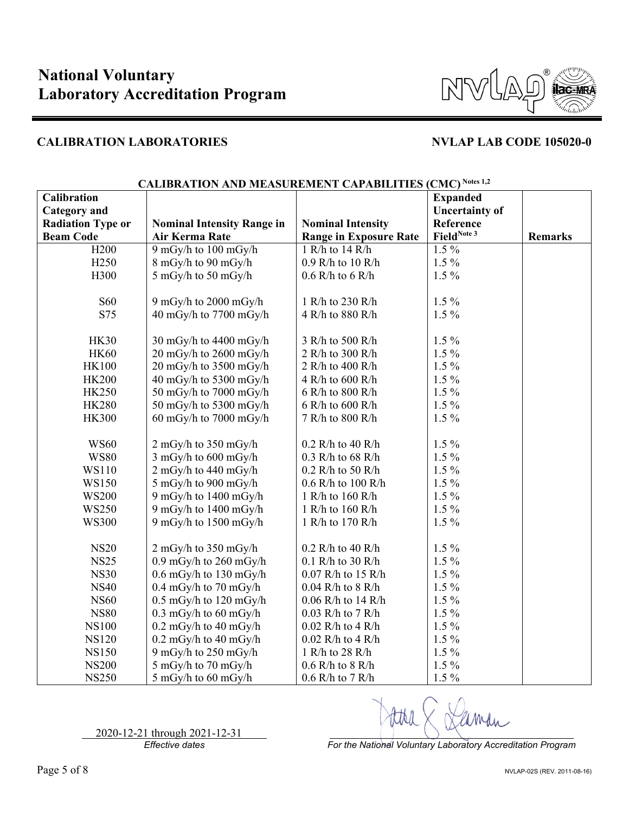

| Calibration              |                                   |                               | <b>Expanded</b>       |                |
|--------------------------|-----------------------------------|-------------------------------|-----------------------|----------------|
| <b>Category</b> and      |                                   |                               | <b>Uncertainty of</b> |                |
| <b>Radiation Type or</b> | <b>Nominal Intensity Range in</b> | <b>Nominal Intensity</b>      | Reference             |                |
| <b>Beam Code</b>         | Air Kerma Rate                    | <b>Range in Exposure Rate</b> | FieldNote 3           | <b>Remarks</b> |
| H <sub>200</sub>         | 9 mGy/h to 100 mGy/h              | 1 R/h to 14 R/h               | $1.5\%$               |                |
| H <sub>250</sub>         | 8 mGy/h to 90 mGy/h               | 0.9 R/h to 10 R/h             | $1.5\%$               |                |
| H300                     | 5 mGy/h to 50 mGy/h               | $0.6$ R/h to $6$ R/h          | $1.5\%$               |                |
|                          |                                   |                               |                       |                |
| <b>S60</b>               | 9 mGy/h to 2000 mGy/h             | 1 R/h to 230 R/h              | $1.5\%$               |                |
| S75                      | 40 mGy/h to 7700 mGy/h            | 4 R/h to 880 R/h              | $1.5\%$               |                |
|                          |                                   |                               |                       |                |
| <b>HK30</b>              | 30 mGy/h to 4400 mGy/h            | 3 R/h to 500 R/h              | $1.5\%$               |                |
| <b>HK60</b>              | 20 mGy/h to 2600 mGy/h            | 2 R/h to 300 R/h              | $1.5\%$               |                |
| <b>HK100</b>             | 20 mGy/h to 3500 mGy/h            | 2 R/h to 400 R/h              | $1.5\%$               |                |
| <b>HK200</b>             | 40 mGy/h to 5300 mGy/h            | 4 R/h to 600 R/h              | $1.5\%$               |                |
| <b>HK250</b>             | 50 mGy/h to 7000 mGy/h            | 6 R/h to 800 R/h              | $1.5\%$               |                |
| <b>HK280</b>             | 50 mGy/h to 5300 mGy/h            | 6 R/h to 600 R/h              | $1.5\%$               |                |
| <b>HK300</b>             | 60 mGy/h to 7000 mGy/h            | 7 R/h to 800 R/h              | $1.5\%$               |                |
|                          |                                   |                               |                       |                |
| <b>WS60</b>              | 2 mGy/h to 350 mGy/h              | $0.2$ R/h to 40 R/h           | $1.5\%$               |                |
| <b>WS80</b>              | 3 mGy/h to 600 mGy/h              | $0.3$ R/h to 68 R/h           | $1.5\%$               |                |
| WS110                    | 2 mGy/h to 440 mGy/h              | $0.2$ R/h to 50 R/h           | $1.5\%$               |                |
| WS150                    | 5 mGy/h to 900 mGy/h              | $0.6$ R/h to 100 R/h          | $1.5\%$               |                |
| <b>WS200</b>             | 9 mGy/h to 1400 mGy/h             | 1 R/h to 160 R/h              | $1.5\%$               |                |
| <b>WS250</b>             | 9 mGy/h to 1400 mGy/h             | 1 R/h to 160 R/h              | $1.5\%$               |                |
| <b>WS300</b>             | 9 mGy/h to $1500$ mGy/h           | 1 R/h to 170 R/h              | $1.5\%$               |                |
|                          |                                   |                               |                       |                |
| <b>NS20</b>              | 2 mGy/h to 350 mGy/h              | $0.2$ R/h to 40 R/h           | $1.5\%$               |                |
| <b>NS25</b>              | $0.9$ mGy/h to $260$ mGy/h        | 0.1 R/h to 30 R/h             | $1.5\%$               |                |
| <b>NS30</b>              | $0.6$ mGy/h to 130 mGy/h          | 0.07 R/h to 15 R/h            | $1.5\%$               |                |
| <b>NS40</b>              | $0.4$ mGy/h to 70 mGy/h           | $0.04$ R/h to 8 R/h           | $1.5\%$               |                |
| <b>NS60</b>              | $0.5$ mGy/h to $120$ mGy/h        | 0.06 R/h to 14 R/h            | $1.5\%$               |                |
| <b>NS80</b>              | $0.3$ mGy/h to 60 mGy/h           | $0.03$ R/h to 7 R/h           | $1.5\%$               |                |
| <b>NS100</b>             | $0.2 \text{ mGy/h}$ to 40 mGy/h   | $0.02$ R/h to 4 R/h           | $1.5\%$               |                |
| <b>NS120</b>             | $0.2 \text{ mGy/h}$ to 40 mGy/h   | $0.02$ R/h to 4 R/h           | $1.5\%$               |                |
| <b>NS150</b>             | 9 mGy/h to 250 mGy/h              | 1 R/h to 28 R/h               | $1.5\%$               |                |
| <b>NS200</b>             | 5 mGy/h to 70 mGy/h               | $0.6$ R/h to 8 R/h            | $1.5\%$               |                |
| <b>NS250</b>             | $5 \text{ mGy/h}$ to 60 mGy/h     | $0.6$ R/h to 7 R/h            | $1.5\%$               |                |

## **CALIBRATION AND MEASUREMENT CAPABILITIES (CMC) Notes 1,2**

2020-12-21 through 2021-12-31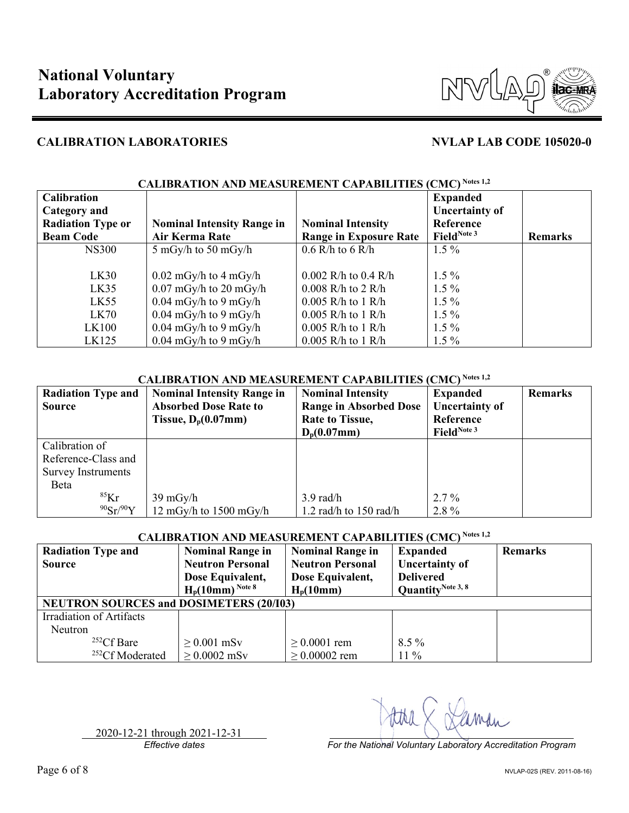

| <b>Calibration</b><br><b>Category and</b><br><b>Radiation Type or</b><br><b>Beam Code</b> | <b>Nominal Intensity Range in</b><br><b>Air Kerma Rate</b>  | <b>Nominal Intensity</b><br><b>Range in Exposure Rate</b> | <b>Expanded</b><br><b>Uncertainty of</b><br>Reference<br>FieldNote 3 | <b>Remarks</b> |
|-------------------------------------------------------------------------------------------|-------------------------------------------------------------|-----------------------------------------------------------|----------------------------------------------------------------------|----------------|
| <b>NS300</b>                                                                              | $5 \text{ mGy/h}$ to $50 \text{ mGy/h}$                     | $0.6$ R/h to $6$ R/h                                      | $1.5\%$                                                              |                |
| LK30<br>LK35                                                                              | $0.02 \text{ mGy/h}$ to 4 mGy/h<br>$0.07$ mGy/h to 20 mGy/h | $0.002$ R/h to $0.4$ R/h<br>$0.008$ R/h to 2 R/h          | $1.5\%$<br>$1.5\%$                                                   |                |
| LK55                                                                                      | $0.04$ mGy/h to 9 mGy/h                                     | $0.005$ R/h to 1 R/h                                      | $1.5\%$                                                              |                |
| LK70                                                                                      | $0.04$ mGy/h to 9 mGy/h                                     | $0.005$ R/h to 1 R/h                                      | $1.5\%$                                                              |                |
| LK100                                                                                     | $0.04$ mGy/h to 9 mGy/h                                     | $0.005$ R/h to 1 R/h                                      | $1.5\%$                                                              |                |
| LK125                                                                                     | $0.04$ mGy/h to 9 mGy/h                                     | $0.005$ R/h to 1 R/h                                      | $1.5\%$                                                              |                |

### **CALIBRATION AND MEASUREMENT CAPABILITIES (CMC) Notes 1,2**

## **CALIBRATION AND MEASUREMENT CAPABILITIES (CMC) Notes 1,2**

| <b>Radiation Type and</b> | <b>Nominal Intensity Range in</b> | <b>Nominal Intensity</b>      | <b>Expanded</b>       | <b>Remarks</b> |
|---------------------------|-----------------------------------|-------------------------------|-----------------------|----------------|
| <b>Source</b>             | <b>Absorbed Dose Rate to</b>      | <b>Range in Absorbed Dose</b> | <b>Uncertainty of</b> |                |
|                           | Tissue, $D_p(0.07$ mm)            | <b>Rate to Tissue,</b>        | Reference             |                |
|                           |                                   | $D_p(0.07mm)$                 | FieldNote 3           |                |
| Calibration of            |                                   |                               |                       |                |
| Reference-Class and       |                                   |                               |                       |                |
| <b>Survey Instruments</b> |                                   |                               |                       |                |
| Beta                      |                                   |                               |                       |                |
| ${}^{85}$ Kr              | $39 \text{ mGy/h}$                | $3.9 \text{ rad/h}$           | $2.7\%$               |                |
| 90Sr/90Y                  | 12 mGy/h to $1500$ mGy/h          | 1.2 rad/h to $150$ rad/h      | 2.8%                  |                |

# **CALIBRATION AND MEASUREMENT CAPABILITIES (CMC) Notes 1,2**

| <b>Radiation Type and</b><br><b>Source</b><br><b>NEUTRON SOURCES and DOSIMETERS (20/103)</b> | <b>Nominal Range in</b><br><b>Neutron Personal</b><br>Dose Equivalent,<br>$H_p(10mm)^{Note 8}$ | <b>Nominal Range in</b><br><b>Neutron Personal</b><br>Dose Equivalent,<br>$H_p(10mm)$ | <b>Expanded</b><br><b>Uncertainty of</b><br><b>Delivered</b><br>Quantity <sup>Note 3, 8</sup> | <b>Remarks</b> |
|----------------------------------------------------------------------------------------------|------------------------------------------------------------------------------------------------|---------------------------------------------------------------------------------------|-----------------------------------------------------------------------------------------------|----------------|
| Irradiation of Artifacts                                                                     |                                                                                                |                                                                                       |                                                                                               |                |
| <b>Neutron</b>                                                                               |                                                                                                |                                                                                       |                                                                                               |                |
| $252Cf$ Bare                                                                                 | $\geq 0.001$ mSv                                                                               | $\geq 0.0001$ rem                                                                     | $8.5\%$                                                                                       |                |
| <sup>252</sup> Cf Moderated                                                                  | $\geq 0.0002$ mSv                                                                              | $\geq 0.00002$ rem                                                                    | $11\%$                                                                                        |                |

2020-12-21 through 2021-12-31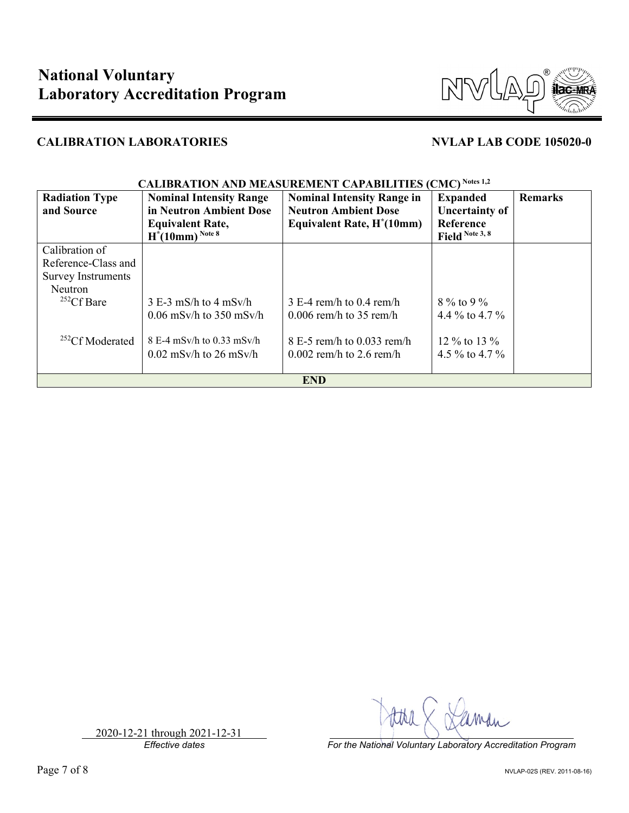

| <b>Radiation Type</b><br>and Source | <b>Nominal Intensity Range</b><br>in Neutron Ambient Dose<br><b>Equivalent Rate,</b><br>$H^*(10mm)^{Note 8}$ | <b>Nominal Intensity Range in</b><br><b>Neutron Ambient Dose</b><br>Equivalent Rate, H <sup>*</sup> (10mm) | <b>Expanded</b><br><b>Uncertainty of</b><br>Reference<br>Field Note 3, 8 | <b>Remarks</b> |
|-------------------------------------|--------------------------------------------------------------------------------------------------------------|------------------------------------------------------------------------------------------------------------|--------------------------------------------------------------------------|----------------|
| Calibration of                      |                                                                                                              |                                                                                                            |                                                                          |                |
| Reference-Class and                 |                                                                                                              |                                                                                                            |                                                                          |                |
| <b>Survey Instruments</b>           |                                                                                                              |                                                                                                            |                                                                          |                |
| <b>Neutron</b>                      |                                                                                                              |                                                                                                            |                                                                          |                |
| $252Cf$ Bare                        | $3 E-3$ mS/h to $4$ mSv/h                                                                                    | $3 E-4$ rem/h to 0.4 rem/h                                                                                 | $8\%$ to 9 %                                                             |                |
|                                     | $0.06$ mSv/h to 350 mSv/h                                                                                    | $0.006$ rem/h to 35 rem/h                                                                                  | 4.4 \% to 4.7 \%                                                         |                |
| $252CF$ Moderated                   | $8 E-4$ mSv/h to 0.33 mSv/h                                                                                  | $8E-5$ rem/h to 0.033 rem/h                                                                                | 12 % to 13 %                                                             |                |
|                                     | $0.02$ mSv/h to 26 mSv/h                                                                                     | $0.002$ rem/h to 2.6 rem/h                                                                                 | 4.5 % to 4.7 %                                                           |                |
|                                     |                                                                                                              | <b>END</b>                                                                                                 |                                                                          |                |

# **CALIBRATION AND MEASUREMENT CAPABILITIES (CMC) Notes 1,2**

*Effective dates For the National Voluntary Laboratory Accreditation Program*

2020-12-21 through 2021-12-31